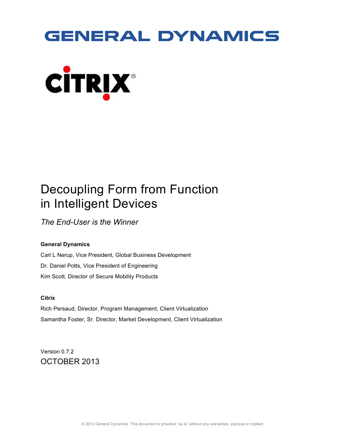# **GENERAL DYNAMICS**



## Decoupling Form from Function in Intelligent Devices

*The End-User is the Winner*

#### **General Dynamics**

Carl L Nerup, Vice President, Global Business Development Dr. Daniel Potts, Vice President of Engineering Kim Scott, Director of Secure Mobility Products

#### **Citrix**

Rich Persaud, Director, Program Management, Client Virtualization Samantha Foster, Sr. Director, Market Development, Client Virtualization

Version 0.7.2 OCTOBER 2013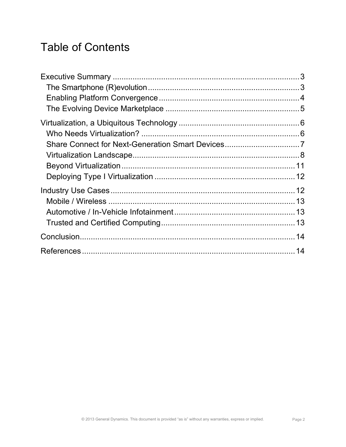## Table of Contents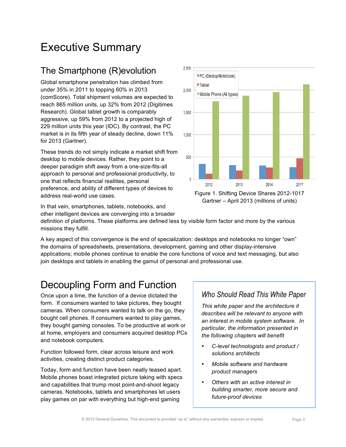## Executive Summary

### The Smartphone (R)evolution

Global smartphone penetration has climbed from under 35% in 2011 to topping 60% in 2013 (comScore). Total shipment volumes are expected to reach 865 million units, up 32% from 2012 (Digitimes Research). Global tablet growth is comparably aggressive, up 59% from 2012 to a projected high of 229 million units this year (IDC). By contrast, the PC market is in its fifth year of steady decline, down 11% for 2013 (Gartner).

These trends do not simply indicate a market shift from desktop to mobile devices. Rather, they point to a deeper paradigm shift away from a one-size-fits-all approach to personal and professional productivity, to one that reflects financial realities, personal preference, and ability of different types of devices to address real-world use cases.

In that vein, smartphones, tablets, notebooks, and other intelligent devices are converging into a broader



Figure 1. Shifting Device Shares 2012-1017 Gartner – April 2013 (millions of units)

definition of platforms. These platforms are defined less by visible form factor and more by the various missions they fulfill.

A key aspect of this convergence is the end of specialization: desktops and notebooks no longer "own" the domains of spreadsheets, presentations, development, gaming and other display-intensive applications; mobile phones continue to enable the core functions of voice and text messaging, but also join desktops and tablets in enabling the gamut of personal and professional use.

### Decoupling Form and Function

Once upon a time, the function of a device dictated the form. If consumers wanted to take pictures, they bought cameras. When consumers wanted to talk on the go, they bought cell phones. If consumers wanted to play games, they bought gaming consoles. To be productive at work or at home, employers and consumers acquired desktop PCs and notebook computers.

Function followed form, clear across leisure and work activities, creating distinct product categories.

Today, form and function have been neatly teased apart. Mobile phones boast integrated picture taking with specs and capabilities that trump most point-and-shoot legacy cameras. Notebooks, tablets and smartphones let users play games on par with everything but high-end gaming

### *Who Should Read This White Paper*

*This white paper and the architecture it describes will be relevant to anyone with an interest in mobile system software. In particular, the information presented in the following chapters will benefit*

- *C-level technologists and product / solutions architects*
- *Mobile software and hardware product managers*
- *Others with an active interest in building smarter, more secure and future-proof devices*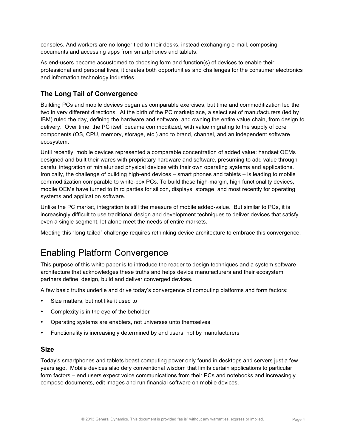consoles. And workers are no longer tied to their desks, instead exchanging e-mail, composing documents and accessing apps from smartphones and tablets.

As end-users become accustomed to choosing form and function(s) of devices to enable their professional and personal lives, it creates both opportunities and challenges for the consumer electronics and information technology industries.

#### **The Long Tail of Convergence**

Building PCs and mobile devices began as comparable exercises, but time and commoditization led the two in very different directions. At the birth of the PC marketplace, a select set of manufacturers (led by IBM) ruled the day, defining the hardware and software, and owning the entire value chain, from design to delivery. Over time, the PC itself became commoditized, with value migrating to the supply of core components (OS, CPU, memory, storage, etc.) and to brand, channel, and an independent software ecosystem.

Until recently, mobile devices represented a comparable concentration of added value: handset OEMs designed and built their wares with proprietary hardware and software, presuming to add value through careful integration of miniaturized physical devices with their own operating systems and applications. Ironically, the challenge of building high-end devices – smart phones and tablets – is leading to mobile commoditization comparable to white-box PCs. To build these high-margin, high functionality devices, mobile OEMs have turned to third parties for silicon, displays, storage, and most recently for operating systems and application software.

Unlike the PC market, integration is still the measure of mobile added-value. But similar to PCs, it is increasingly difficult to use traditional design and development techniques to deliver devices that satisfy even a single segment, let alone meet the needs of entire markets.

Meeting this "long-tailed" challenge requires rethinking device architecture to embrace this convergence.

### Enabling Platform Convergence

This purpose of this white paper is to introduce the reader to design techniques and a system software architecture that acknowledges these truths and helps device manufacturers and their ecosystem partners define, design, build and deliver converged devices.

A few basic truths underlie and drive today's convergence of computing platforms and form factors:

- Size matters, but not like it used to
- Complexity is in the eye of the beholder
- Operating systems are enablers, not universes unto themselves
- Functionality is increasingly determined by end users, not by manufacturers

#### **Size**

Today's smartphones and tablets boast computing power only found in desktops and servers just a few years ago. Mobile devices also defy conventional wisdom that limits certain applications to particular form factors – end users expect voice communications from their PCs and notebooks and increasingly compose documents, edit images and run financial software on mobile devices.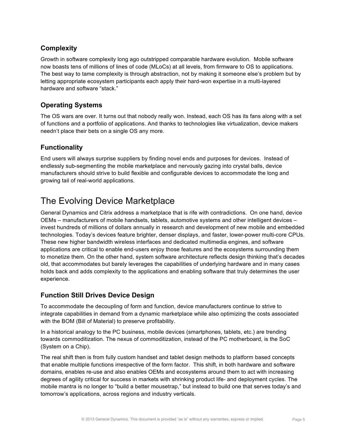#### **Complexity**

Growth in software complexity long ago outstripped comparable hardware evolution. Mobile software now boasts tens of millions of lines of code (MLoCs) at all levels, from firmware to OS to applications. The best way to tame complexity is through abstraction, not by making it someone else's problem but by letting appropriate ecosystem participants each apply their hard-won expertise in a multi-layered hardware and software "stack."

#### **Operating Systems**

The OS wars are over. It turns out that nobody really won. Instead, each OS has its fans along with a set of functions and a portfolio of applications. And thanks to technologies like virtualization, device makers needn't place their bets on a single OS any more.

#### **Functionality**

End users will always surprise suppliers by finding novel ends and purposes for devices. Instead of endlessly sub-segmenting the mobile marketplace and nervously gazing into crystal balls, device manufacturers should strive to build flexible and configurable devices to accommodate the long and growing tail of real-world applications.

### The Evolving Device Marketplace

General Dynamics and Citrix address a marketplace that is rife with contradictions. On one hand, device OEMs – manufacturers of mobile handsets, tablets, automotive systems and other intelligent devices – invest hundreds of millions of dollars annually in research and development of new mobile and embedded technologies. Today's devices feature brighter, denser displays, and faster, lower-power multi-core CPUs. These new higher bandwidth wireless interfaces and dedicated multimedia engines, and software applications are critical to enable end-users enjoy those features and the ecosystems surrounding them to monetize them. On the other hand, system software architecture reflects design thinking that's decades old, that accommodates but barely leverages the capabilities of underlying hardware and in many cases holds back and adds complexity to the applications and enabling software that truly determines the user experience.

#### **Function Still Drives Device Design**

To accommodate the decoupling of form and function, device manufacturers continue to strive to integrate capabilities in demand from a dynamic marketplace while also optimizing the costs associated with the BOM (Bill of Material) to preserve profitability.

In a historical analogy to the PC business, mobile devices (smartphones, tablets, etc.) are trending towards commoditization. The nexus of commoditization, instead of the PC motherboard, is the SoC (System on a Chip).

The real shift then is from fully custom handset and tablet design methods to platform based concepts that enable multiple functions irrespective of the form factor. This shift, in both hardware and software domains, enables re-use and also enables OEMs and ecosystems around them to act with increasing degrees of agility critical for success in markets with shrinking product life- and deployment cycles. The mobile mantra is no longer to "build a better mousetrap," but instead to build one that serves today's and tomorrow's applications, across regions and industry verticals.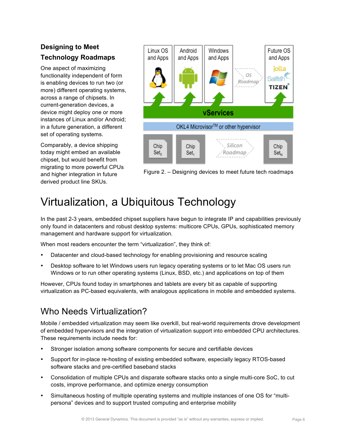### **Designing to Meet Technology Roadmaps**

One aspect of maximizing functionality independent of form is enabling devices to run two (or more) different operating systems, across a range of chipsets. In current-generation devices, a device might deploy one or more instances of Linux and/or Android; in a future generation, a different set of operating systems.

Comparably, a device shipping today might embed an available chipset, but would benefit from migrating to more powerful CPUs and higher integration in future derived product line SKUs.



Figure 2. – Designing devices to meet future tech roadmaps

## Virtualization, a Ubiquitous Technology

In the past 2-3 years, embedded chipset suppliers have begun to integrate IP and capabilities previously only found in datacenters and robust desktop systems: multicore CPUs, GPUs, sophisticated memory management and hardware support for virtualization.

When most readers encounter the term "virtualization", they think of:

- Datacenter and cloud-based technology for enabling provisioning and resource scaling
- Desktop software to let Windows users run legacy operating systems or to let Mac OS users run Windows or to run other operating systems (Linux, BSD, etc.) and applications on top of them

However, CPUs found today in smartphones and tablets are every bit as capable of supporting virtualization as PC-based equivalents, with analogous applications in mobile and embedded systems.

### Who Needs Virtualization?

Mobile / embedded virtualization may seem like overkill, but real-world requirements drove development of embedded hypervisors and the integration of virtualization support into embedded CPU architectures. These requirements include needs for:

- Stronger isolation among software components for secure and certifiable devices
- Support for in-place re-hosting of existing embedded software, especially legacy RTOS-based software stacks and pre-certified baseband stacks
- Consolidation of multiple CPUs and disparate software stacks onto a single multi-core SoC, to cut costs, improve performance, and optimize energy consumption
- Simultaneous hosting of multiple operating systems and multiple instances of one OS for "multipersona" devices and to support trusted computing and enterprise mobility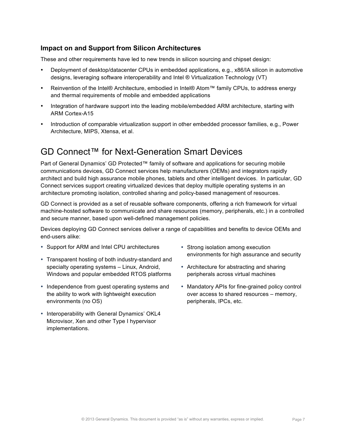#### **Impact on and Support from Silicon Architectures**

These and other requirements have led to new trends in silicon sourcing and chipset design:

- Deployment of desktop/datacenter CPUs in embedded applications, e.g., x86/IA silicon in automotive designs, leveraging software interoperability and Intel ® Virtualization Technology (VT)
- Reinvention of the Intel® Architecture, embodied in Intel® Atom™ family CPUs, to address energy and thermal requirements of mobile and embedded applications
- Integration of hardware support into the leading mobile/embedded ARM architecture, starting with ARM Cortex-A15
- Introduction of comparable virtualization support in other embedded processor families, e.g., Power Architecture, MIPS, Xtensa, et al.

### GD Connect™ for Next-Generation Smart Devices

Part of General Dynamics' GD Protected™ family of software and applications for securing mobile communications devices, GD Connect services help manufacturers (OEMs) and integrators rapidly architect and build high assurance mobile phones, tablets and other intelligent devices. In particular, GD Connect services support creating virtualized devices that deploy multiple operating systems in an architecture promoting isolation, controlled sharing and policy-based management of resources.

GD Connect is provided as a set of reusable software components, offering a rich framework for virtual machine-hosted software to communicate and share resources (memory, peripherals, etc.) in a controlled and secure manner, based upon well-defined management policies.

Devices deploying GD Connect services deliver a range of capabilities and benefits to device OEMs and end-users alike:

- Support for ARM and Intel CPU architectures
- Transparent hosting of both industry-standard and specialty operating systems – Linux, Android, Windows and popular embedded RTOS platforms
- Independence from guest operating systems and the ability to work with lightweight execution environments (no OS)
- Interoperability with General Dynamics' OKL4 Microvisor, Xen and other Type I hypervisor implementations.
- Strong isolation among execution environments for high assurance and security
- Architecture for abstracting and sharing peripherals across virtual machines
- Mandatory APIs for fine-grained policy control over access to shared resources – memory, peripherals, IPCs, etc.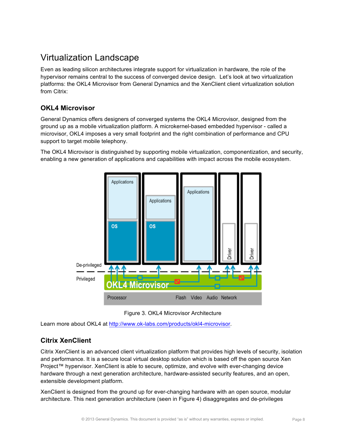### Virtualization Landscape

Even as leading silicon architectures integrate support for virtualization in hardware, the role of the hypervisor remains central to the success of converged device design. Let's look at two virtualization platforms: the OKL4 Microvisor from General Dynamics and the XenClient client virtualization solution from Citrix:

#### **OKL4 Microvisor**

General Dynamics offers designers of converged systems the OKL4 Microvisor, designed from the ground up as a mobile virtualization platform. A microkernel-based embedded hypervisor - called a microvisor, OKL4 imposes a very small footprint and the right combination of performance and CPU support to target mobile telephony.

The OKL4 Microvisor is distinguished by supporting mobile virtualization, componentization, and security, enabling a new generation of applications and capabilities with impact across the mobile ecosystem.





Learn more about OKL4 at http://www.ok-labs.com/products/okl4-microvisor.

#### **Citrix XenClient**

Citrix XenClient is an advanced client virtualization platform that provides high levels of security, isolation and performance. It is a secure local virtual desktop solution which is based off the open source Xen Project™ hypervisor. XenClient is able to secure, optimize, and evolve with ever-changing device hardware through a next generation architecture, hardware-assisted security features, and an open, extensible development platform.

XenClient is designed from the ground up for ever-changing hardware with an open source, modular architecture. This next generation architecture (seen in Figure 4) disaggregates and de-privileges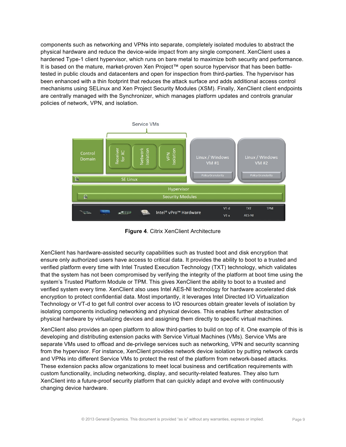components such as networking and VPNs into separate, completely isolated modules to abstract the physical hardware and reduce the device-wide impact from any single component. XenClient uses a hardened Type-1 client hypervisor, which runs on bare metal to maximize both security and performance. It is based on the mature, market-proven Xen Project™ open source hypervisor that has been battletested in public clouds and datacenters and open for inspection from third-parties. The hypervisor has been enhanced with a thin footprint that reduces the attack surface and adds additional access control mechanisms using SELinux and Xen Project Security Modules (XSM). Finally, XenClient client endpoints are centrally managed with the Synchronizer, which manages platform updates and controls granular policies of network, VPN, and isolation.



**Figure 4**. Citrix XenClient Architecture

XenClient has hardware-assisted security capabilities such as trusted boot and disk encryption that ensure only authorized users have access to critical data. It provides the ability to boot to a trusted and verified platform every time with Intel Trusted Execution Technology (TXT) technology, which validates that the system has not been compromised by verifying the integrity of the platform at boot time using the system's Trusted Platform Module or TPM. This gives XenClient the ability to boot to a trusted and verified system every time. XenClient also uses Intel AES-NI technology for hardware accelerated disk encryption to protect confidential data. Most importantly, it leverages Intel Directed I/O Virtualization Technology or VT-d to get full control over access to I/O resources obtain greater levels of isolation by isolating components including networking and physical devices. This enables further abstraction of physical hardware by virtualizing devices and assigning them directly to specific virtual machines.

XenClient also provides an open platform to allow third-parties to build on top of it. One example of this is developing and distributing extension packs with Service Virtual Machines (VMs). Service VMs are separate VMs used to offload and de-privilege services such as networking, VPN and security scanning from the hypervisor. For instance, XenClient provides network device isolation by putting network cards and VPNs into different Service VMs to protect the rest of the platform from network-based attacks. These extension packs allow organizations to meet local business and certification requirements with custom functionality, including networking, display, and security-related features. They also turn XenClient into a future-proof security platform that can quickly adapt and evolve with continuously changing device hardware.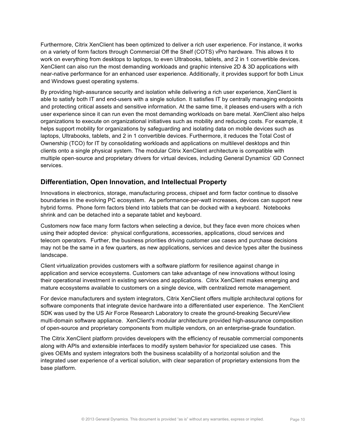Furthermore, Citrix XenClient has been optimized to deliver a rich user experience. For instance, it works on a variety of form factors through Commercial Off the Shelf (COTS) vPro hardware. This allows it to work on everything from desktops to laptops, to even Ultrabooks, tablets, and 2 in 1 convertible devices. XenClient can also run the most demanding workloads and graphic intensive 2D & 3D applications with near-native performance for an enhanced user experience. Additionally, it provides support for both Linux and Windows guest operating systems.

By providing high-assurance security and isolation while delivering a rich user experience, XenClient is able to satisfy both IT and end-users with a single solution. It satisfies IT by centrally managing endpoints and protecting critical assets and sensitive information. At the same time, it pleases end-users with a rich user experience since it can run even the most demanding workloads on bare metal. XenClient also helps organizations to execute on organizational initiatives such as mobility and reducing costs. For example, it helps support mobility for organizations by safeguarding and isolating data on mobile devices such as laptops, Ultrabooks, tablets, and 2 in 1 convertible devices. Furthermore, it reduces the Total Cost of Ownership (TCO) for IT by consolidating workloads and applications on multilevel desktops and thin clients onto a single physical system. The modular Citrix XenClient architecture is compatible with multiple open-source and proprietary drivers for virtual devices, including General Dynamics' GD Connect services.

#### **Differentiation, Open Innovation, and Intellectual Property**

Innovations in electronics, storage, manufacturing process, chipset and form factor continue to dissolve boundaries in the evolving PC ecosystem. As performance-per-watt increases, devices can support new hybrid forms. Phone form factors blend into tablets that can be docked with a keyboard. Notebooks shrink and can be detached into a separate tablet and keyboard.

Customers now face many form factors when selecting a device, but they face even more choices when using their adopted device: physical configurations, accessories, applications, cloud services and telecom operators. Further, the business priorities driving customer use cases and purchase decisions may not be the same in a few quarters, as new applications, services and device types alter the business landscape.

Client virtualization provides customers with a software platform for resilience against change in application and service ecosystems. Customers can take advantage of new innovations without losing their operational investment in existing services and applications. Citrix XenClient makes emerging and mature ecosystems available to customers on a single device, with centralized remote management.

For device manufacturers and system integrators, Citrix XenClient offers multiple architectural options for software components that integrate device hardware into a differentiated user experience. The XenClient SDK was used by the US Air Force Research Laboratory to create the ground-breaking SecureView multi-domain software appliance. XenClient's modular architecture provided high-assurance composition of open-source and proprietary components from multiple vendors, on an enterprise-grade foundation.

The Citrix XenClient platform provides developers with the efficiency of reusable commercial components along with APIs and extensible interfaces to modify system behavior for specialized use cases. This gives OEMs and system integrators both the business scalability of a horizontal solution and the integrated user experience of a vertical solution, with clear separation of proprietary extensions from the base platform.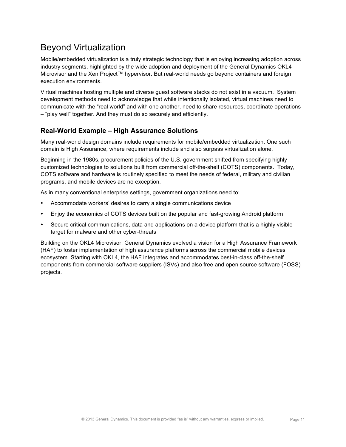### Beyond Virtualization

Mobile/embedded virtualization is a truly strategic technology that is enjoying increasing adoption across industry segments, highlighted by the wide adoption and deployment of the General Dynamics OKL4 Microvisor and the Xen Project™ hypervisor. But real-world needs go beyond containers and foreign execution environments.

Virtual machines hosting multiple and diverse guest software stacks do not exist in a vacuum. System development methods need to acknowledge that while intentionally isolated, virtual machines need to communicate with the "real world" and with one another, need to share resources, coordinate operations – "play well" together. And they must do so securely and efficiently.

#### **Real-World Example – High Assurance Solutions**

Many real-world design domains include requirements for mobile/embedded virtualization. One such domain is High Assurance, where requirements include and also surpass virtualization alone.

Beginning in the 1980s, procurement policies of the U.S. government shifted from specifying highly customized technologies to solutions built from commercial off-the-shelf (COTS) components. Today, COTS software and hardware is routinely specified to meet the needs of federal, military and civilian programs, and mobile devices are no exception.

As in many conventional enterprise settings, government organizations need to:

- Accommodate workers' desires to carry a single communications device
- Enjoy the economics of COTS devices built on the popular and fast-growing Android platform
- Secure critical communications, data and applications on a device platform that is a highly visible target for malware and other cyber-threats

Building on the OKL4 Microvisor, General Dynamics evolved a vision for a High Assurance Framework (HAF) to foster implementation of high assurance platforms across the commercial mobile devices ecosystem. Starting with OKL4, the HAF integrates and accommodates best-in-class off-the-shelf components from commercial software suppliers (ISVs) and also free and open source software (FOSS) projects.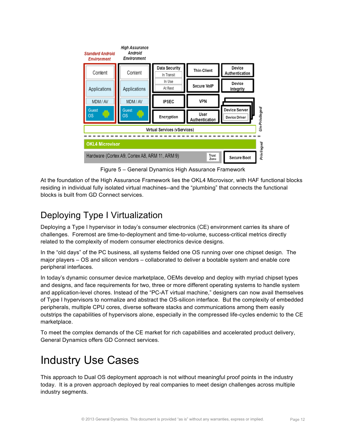

Figure 5 – General Dynamics High Assurance Framework

At the foundation of the High Assurance Framework lies the OKL4 Microvisor, with HAF functional blocks residing in individual fully isolated virtual machines--and the "plumbing" that connects the functional blocks is built from GD Connect services.

### Deploying Type I Virtualization

Deploying a Type I hypervisor in today's consumer electronics (CE) environment carries its share of challenges. Foremost are time-to-deployment and time-to-volume, success-critical metrics directly related to the complexity of modern consumer electronics device designs.

In the "old days" of the PC business, all systems fielded one OS running over one chipset design. The major players – OS and silicon vendors – collaborated to deliver a bootable system and enable core peripheral interfaces.

In today's dynamic consumer device marketplace, OEMs develop and deploy with myriad chipset types and designs, and face requirements for two, three or more different operating systems to handle system and application-level chores. Instead of the "PC-AT virtual machine," designers can now avail themselves of Type I hypervisors to normalize and abstract the OS-silicon interface. But the complexity of embedded peripherals, multiple CPU cores, diverse software stacks and communications among them easily outstrips the capabilities of hypervisors alone, especially in the compressed life-cycles endemic to the CE marketplace.

To meet the complex demands of the CE market for rich capabilities and accelerated product delivery, General Dynamics offers GD Connect services.

## Industry Use Cases

This approach to Dual OS deployment approach is not without meaningful proof points in the industry today. It is a proven approach deployed by real companies to meet design challenges across multiple industry segments.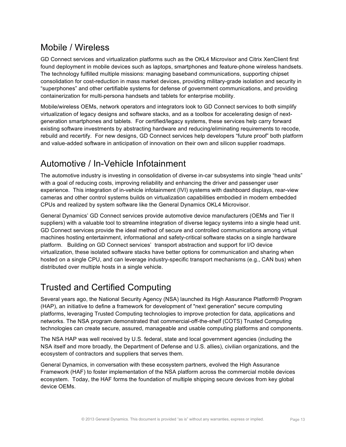### Mobile / Wireless

GD Connect services and virtualization platforms such as the OKL4 Microvisor and Citrix XenClient first found deployment in mobile devices such as laptops, smartphones and feature-phone wireless handsets. The technology fulfilled multiple missions: managing baseband communications, supporting chipset consolidation for cost-reduction in mass market devices, providing military-grade isolation and security in "superphones" and other certifiable systems for defense of government communications, and providing containerization for multi-persona handsets and tablets for enterprise mobility.

Mobile/wireless OEMs, network operators and integrators look to GD Connect services to both simplify virtualization of legacy designs and software stacks, and as a toolbox for accelerating design of nextgeneration smartphones and tablets. For certified/legacy systems, these services help carry forward existing software investments by abstracting hardware and reducing/eliminating requirements to recode, rebuild and recertify. For new designs, GD Connect services help developers "future proof" both platform and value-added software in anticipation of innovation on their own and silicon supplier roadmaps.

### Automotive / In-Vehicle Infotainment

The automotive industry is investing in consolidation of diverse in-car subsystems into single "head units" with a goal of reducing costs, improving reliability and enhancing the driver and passenger user experience. This integration of in-vehicle infotainment (IVI) systems with dashboard displays, rear-view cameras and other control systems builds on virtualization capabilities embodied in modern embedded CPUs and realized by system software like the General Dynamics OKL4 Microvisor.

General Dynamics' GD Connect services provide automotive device manufacturers (OEMs and Tier II suppliers) with a valuable tool to streamline integration of diverse legacy systems into a single head unit. GD Connect services provide the ideal method of secure and controlled communications among virtual machines hosting entertainment, informational and safety-critical software stacks on a single hardware platform. Building on GD Connect services' transport abstraction and support for I/O device virtualization, these isolated software stacks have better options for communication and sharing when hosted on a single CPU, and can leverage industry-specific transport mechanisms (e.g., CAN bus) when distributed over multiple hosts in a single vehicle.

### Trusted and Certified Computing

Several years ago, the National Security Agency (NSA) launched its High Assurance Platform® Program (HAP), an initiative to define a framework for development of "next generation" secure computing platforms, leveraging Trusted Computing technologies to improve protection for data, applications and networks. The NSA program demonstrated that commercial-off-the-shelf (COTS) Trusted Computing technologies can create secure, assured, manageable and usable computing platforms and components.

The NSA HAP was well received by U.S. federal, state and local government agencies (including the NSA itself and more broadly, the Department of Defense and U.S. allies), civilian organizations, and the ecosystem of contractors and suppliers that serves them.

General Dynamics, in conversation with these ecosystem partners, evolved the High Assurance Framework (HAF) to foster implementation of the NSA platform across the commercial mobile devices ecosystem. Today, the HAF forms the foundation of multiple shipping secure devices from key global device OEMs.